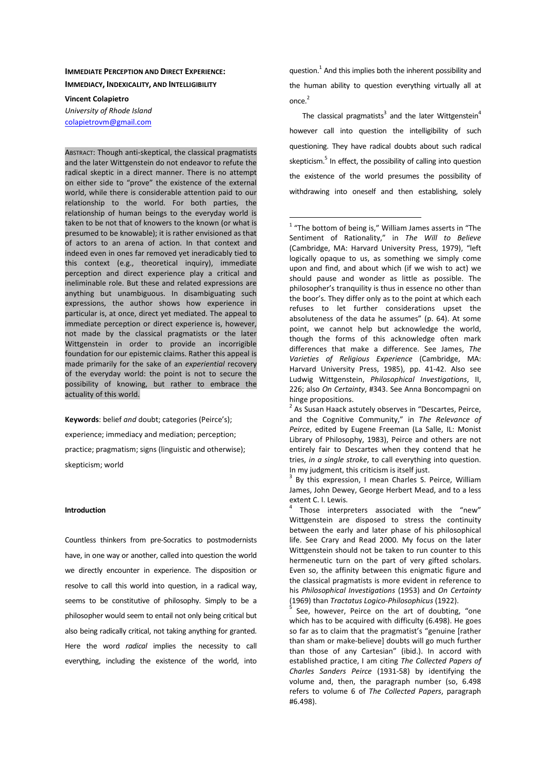# **IMMEDIATE PERCEPTION AND DIRECT EXPERIENCE: IMMEDIACY, INDEXICALITY, AND INTELLIGIBILITY**

**Vincent Colapietro** 

*University of Rhode Island*  colapietrovm@gmail.com

ABSTRACT: Though anti-skeptical, the classical pragmatists and the later Wittgenstein do not endeavor to refute the radical skeptic in a direct manner. There is no attempt on either side to "prove" the existence of the external world, while there is considerable attention paid to our relationship to the world. For both parties, the relationship of human beings to the everyday world is taken to be not that of knowers to the known (or what is presumed to be knowable); it is rather envisioned as that of actors to an arena of action. In that context and indeed even in ones far removed yet ineradicably tied to this context (e.g., theoretical inquiry), immediate perception and direct experience play a critical and ineliminable role. But these and related expressions are anything but unambiguous. In disambiguating such expressions, the author shows how experience in particular is, at once, direct yet mediated. The appeal to immediate perception or direct experience is, however, not made by the classical pragmatists or the later Wittgenstein in order to provide an incorrigible foundation for our epistemic claims. Rather this appeal is made primarily for the sake of an *experiential* recovery of the everyday world: the point is not to secure the possibility of knowing, but rather to embrace the actuality of this world.

**Keywords**: belief *and* doubt; categories (Peirce's); experience; immediacy and mediation; perception; practice; pragmatism; signs (linguistic and otherwise); skepticism; world

#### **Introduction**

Countless thinkers from pre-Socratics to postmodernists have, in one way or another, called into question the world we directly encounter in experience. The disposition or resolve to call this world into question, in a radical way, seems to be constitutive of philosophy. Simply to be a philosopher would seem to entail not only being critical but also being radically critical, not taking anything for granted. Here the word *radical* implies the necessity to call everything, including the existence of the world, into

question. $^{1}$  And this implies both the inherent possibility and the human ability to question everything virtually all at once. 2

The classical pragmatists<sup>3</sup> and the later Wittgenstein<sup>4</sup> however call into question the intelligibility of such questioning. They have radical doubts about such radical skepticism.<sup>5</sup> In effect, the possibility of calling into question the existence of the world presumes the possibility of withdrawing into oneself and then establishing, solely

 $\overline{a}$ 

 $1$  "The bottom of being is," William James asserts in "The Sentiment of Rationality," in *The Will to Believe*  (Cambridge, MA: Harvard University Press, 1979), "left logically opaque to us, as something we simply come upon and find, and about which (if we wish to act) we should pause and wonder as little as possible. The philosopher's tranquility is thus in essence no other than the boor's. They differ only as to the point at which each refuses to let further considerations upset the absoluteness of the data he assumes" (p. 64). At some point, we cannot help but acknowledge the world, though the forms of this acknowledge often mark differences that make a difference. See James, *The Varieties of Religious Experience* (Cambridge, MA: Harvard University Press, 1985), pp. 41-42. Also see Ludwig Wittgenstein, *Philosophical Investigations*, II, 226; also *On Certainty*, #343. See Anna Boncompagni on hinge propositions.

<sup>3</sup> By this expression, I mean Charles S. Peirce, William James, John Dewey, George Herbert Mead, and to a less extent C. I. Lewis.

4 Those interpreters associated with the "new" Wittgenstein are disposed to stress the continuity between the early and later phase of his philosophical life. See Crary and Read 2000. My focus on the later Wittgenstein should not be taken to run counter to this hermeneutic turn on the part of very gifted scholars. Even so, the affinity between this enigmatic figure and the classical pragmatists is more evident in reference to his *Philosophical Investigations* (1953) and *On Certainty* (1969) than *Tractatus Logico-Philosophicus* (1922).

5 See, however, Peirce on the art of doubting, "one which has to be acquired with difficulty (6.498). He goes so far as to claim that the pragmatist's "genuine [rather than sham or make-believe] doubts will go much further than those of any Cartesian" (ibid.). In accord with established practice, I am citing *The Collected Papers of Charles Sanders Peirce* (1931-58) by identifying the volume and, then, the paragraph number (so, 6.498 refers to volume 6 of *The Collected Papers*, paragraph #6.498).

<sup>&</sup>lt;sup>2</sup> As Susan Haack astutely observes in "Descartes, Peirce, and the Cognitive Community," in *The Relevance of Peirce*, edited by Eugene Freeman (La Salle, IL: Monist Library of Philosophy, 1983), Peirce and others are not entirely fair to Descartes when they contend that he tries, *in a single stroke*, to call everything into question. In my judgment, this criticism is itself just.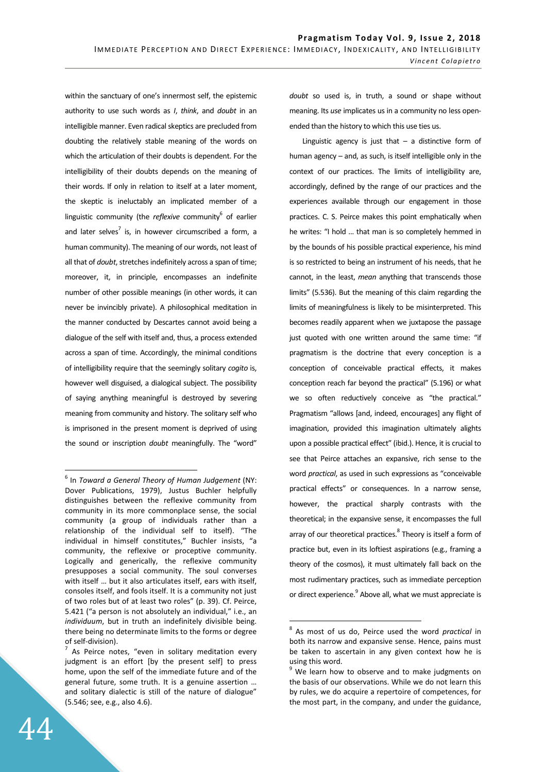within the sanctuary of one's innermost self, the epistemic authority to use such words as *I*, *think*, and *doubt* in an intelligible manner. Even radical skeptics are precluded from doubting the relatively stable meaning of the words on which the articulation of their doubts is dependent. For the intelligibility of their doubts depends on the meaning of their words. If only in relation to itself at a later moment, the skeptic is ineluctably an implicated member of a linguistic community (the *reflexive* community<sup>6</sup> of earlier and later selves<sup>7</sup> is, in however circumscribed a form, a human community). The meaning of our words, not least of all that of *doubt*, stretches indefinitely across a span of time; moreover, it, in principle, encompasses an indefinite number of other possible meanings (in other words, it can never be invincibly private). A philosophical meditation in the manner conducted by Descartes cannot avoid being a dialogue of the self with itself and, thus, a process extended across a span of time. Accordingly, the minimal conditions of intelligibility require that the seemingly solitary *cogito* is, however well disguised, a dialogical subject. The possibility of saying anything meaningful is destroyed by severing meaning from community and history. The solitary self who is imprisoned in the present moment is deprived of using the sound or inscription *doubt* meaningfully. The "word"

*doubt* so used is, in truth, a sound or shape without meaning. Its *use* implicates us in a community no less openended than the history to which this use ties us.

Linguistic agency is just that  $-$  a distinctive form of human agency – and, as such, is itself intelligible only in the context of our practices. The limits of intelligibility are, accordingly, defined by the range of our practices and the experiences available through our engagement in those practices. C. S. Peirce makes this point emphatically when he writes: "I hold … that man is so completely hemmed in by the bounds of his possible practical experience, his mind is so restricted to being an instrument of his needs, that he cannot, in the least, *mean* anything that transcends those limits" (5.536). But the meaning of this claim regarding the limits of meaningfulness is likely to be misinterpreted. This becomes readily apparent when we juxtapose the passage just quoted with one written around the same time: "if pragmatism is the doctrine that every conception is a conception of conceivable practical effects, it makes conception reach far beyond the practical" (5.196) or what we so often reductively conceive as "the practical." Pragmatism "allows [and, indeed, encourages] any flight of imagination, provided this imagination ultimately alights upon a possible practical effect" (ibid.). Hence, it is crucial to see that Peirce attaches an expansive, rich sense to the word *practical*, as used in such expressions as "conceivable practical effects" or consequences. In a narrow sense, however, the practical sharply contrasts with the theoretical; in the expansive sense, it encompasses the full array of our theoretical practices.<sup>8</sup> Theory is itself a form of practice but, even in its loftiest aspirations (e.g., framing a theory of the cosmos), it must ultimately fall back on the most rudimentary practices, such as immediate perception or direct experience.<sup>9</sup> Above all, what we must appreciate is

 $\overline{a}$ 

<sup>6</sup> In *Toward a General Theory of Human Judgement* (NY: Dover Publications, 1979), Justus Buchler helpfully distinguishes between the reflexive community from community in its more commonplace sense, the social community (a group of individuals rather than a relationship of the individual self to itself). "The individual in himself constitutes," Buchler insists, "a community, the reflexive or proceptive community. Logically and generically, the reflexive community presupposes a social community. The soul converses with itself … but it also articulates itself, ears with itself, consoles itself, and fools itself. It is a community not just of two roles but of at least two roles" (p. 39). Cf. Peirce, 5.421 ("a person is not absolutely an individual," i.e., an *individuum*, but in truth an indefinitely divisible being. there being no determinate limits to the forms or degree of self-division).

 $^7$  As Peirce notes, "even in solitary meditation every judgment is an effort [by the present self] to press home, upon the self of the immediate future and of the general future, some truth. It is a genuine assertion … and solitary dialectic is still of the nature of dialogue" (5.546; see, e.g., also 4.6).

<sup>8</sup> As most of us do, Peirce used the word *practical* in both its narrow and expansive sense. Hence, pains must be taken to ascertain in any given context how he is using this word.

<sup>&</sup>lt;sup>9</sup> We learn how to observe and to make judgments on the basis of our observations. While we do not learn this by rules, we do acquire a repertoire of competences, for the most part, in the company, and under the guidance,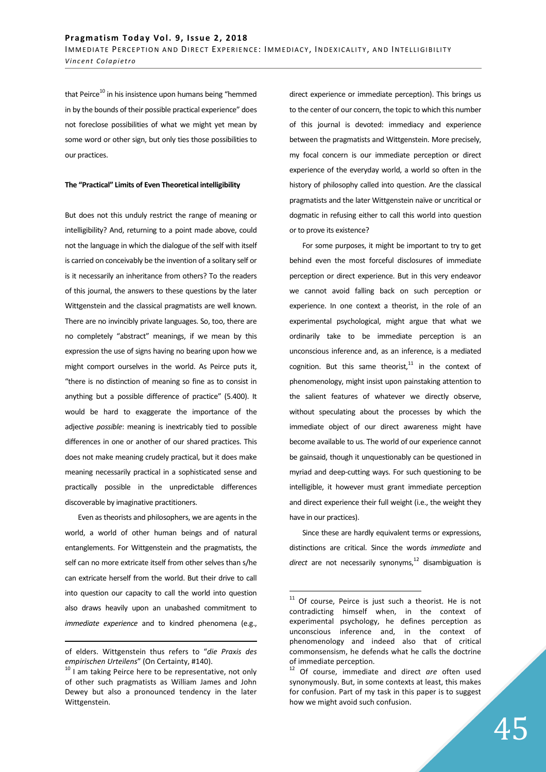that Peirce<sup>10</sup> in his insistence upon humans being "hemmed in by the bounds of their possible practical experience" does not foreclose possibilities of what we might yet mean by some word or other sign, but only ties those possibilities to our practices.

#### **The "Practical" Limits of Even Theoretical intelligibility**

But does not this unduly restrict the range of meaning or intelligibility? And, returning to a point made above, could not the language in which the dialogue of the self with itself is carried on conceivably be the invention of a solitary self or is it necessarily an inheritance from others? To the readers of this journal, the answers to these questions by the later Wittgenstein and the classical pragmatists are well known. There are no invincibly private languages. So, too, there are no completely "abstract" meanings, if we mean by this expression the use of signs having no bearing upon how we might comport ourselves in the world. As Peirce puts it, "there is no distinction of meaning so fine as to consist in anything but a possible difference of practice" (5.400). It would be hard to exaggerate the importance of the adjective *possible*: meaning is inextricably tied to possible differences in one or another of our shared practices. This does not make meaning crudely practical, but it does make meaning necessarily practical in a sophisticated sense and practically possible in the unpredictable differences discoverable by imaginative practitioners.

Even as theorists and philosophers, we are agents in the world, a world of other human beings and of natural entanglements. For Wittgenstein and the pragmatists, the self can no more extricate itself from other selves than s/he can extricate herself from the world. But their drive to call into question our capacity to call the world into question also draws heavily upon an unabashed commitment to *immediate experience* and to kindred phenomena (e.g.,

<u>.</u>

direct experience or immediate perception). This brings us to the center of our concern, the topic to which this number of this journal is devoted: immediacy and experience between the pragmatists and Wittgenstein. More precisely, my focal concern is our immediate perception or direct experience of the everyday world, a world so often in the history of philosophy called into question. Are the classical pragmatists and the later Wittgenstein naïve or uncritical or dogmatic in refusing either to call this world into question or to prove its existence?

For some purposes, it might be important to try to get behind even the most forceful disclosures of immediate perception or direct experience. But in this very endeavor we cannot avoid falling back on such perception or experience. In one context a theorist, in the role of an experimental psychological, might argue that what we ordinarily take to be immediate perception is an unconscious inference and, as an inference, is a mediated cognition. But this same theorist, $11$  in the context of phenomenology, might insist upon painstaking attention to the salient features of whatever we directly observe, without speculating about the processes by which the immediate object of our direct awareness might have become available to us. The world of our experience cannot be gainsaid, though it unquestionably can be questioned in myriad and deep-cutting ways. For such questioning to be intelligible, it however must grant immediate perception and direct experience their full weight (i.e., the weight they have in our practices).

Since these are hardly equivalent terms or expressions, distinctions are critical. Since the words *immediate* and direct are not necessarily synonyms,<sup>12</sup> disambiguation is

of elders. Wittgenstein thus refers to "*die Praxis des empirischen Urteilens*" (On Certainty, #140).

 $10$  I am taking Peirce here to be representative, not only of other such pragmatists as William James and John Dewey but also a pronounced tendency in the later Wittgenstein.

 $11$  Of course, Peirce is just such a theorist. He is not contradicting himself when, in the context of experimental psychology, he defines perception as unconscious inference and, in the context of phenomenology and indeed also that of critical commonsensism, he defends what he calls the doctrine of immediate perception.

<sup>12</sup> Of course, immediate and direct *are* often used synonymously. But, in some contexts at least, this makes for confusion. Part of my task in this paper is to suggest how we might avoid such confusion.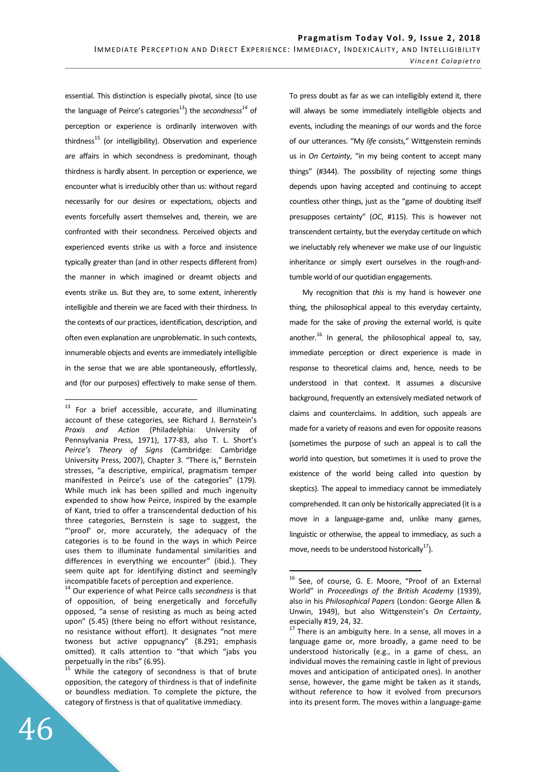essential. This distinction is especially pivotal, since (to use the language of Peirce's categories<sup>13</sup>) the *secondnesss*<sup>14</sup> of perception or experience is ordinarily interwoven with thirdness<sup>15</sup> (or intelligibility). Observation and experience are affairs in which secondness is predominant, though thirdness is hardly absent. In perception or experience, we encounter what is irreducibly other than us: without regard necessarily for our desires or expectations, objects and events forcefully assert themselves and, therein, we are confronted with their secondness. Perceived objects and experienced events strike us with a force and insistence typically greater than (and in other respects different from) the manner in which imagined or dreamt objects and events strike us. But they are, to some extent, inherently intelligible and therein we are faced with their thirdness. In the contexts of our practices, identification, description, and often even explanation are unproblematic. In such contexts, innumerable objects and events are immediately intelligible in the sense that we are able spontaneously, effortlessly, and (for our purposes) effectively to make sense of them.

<sup>14</sup> Our experience of what Peirce calls *secondness* is that of opposition, of being energetically and forcefully opposed, "a sense of resisting as much as being acted upon" (5.45) (there being no effort without resistance, no resistance without effort). It designates "not mere twoness but active oppugnancy" (8.291; emphasis omitted). It calls attention to "that which "jabs you perpetually in the ribs" (6.95).

To press doubt as far as we can intelligibly extend it, there will always be some immediately intelligible objects and events, including the meanings of our words and the force of our utterances. "My *life* consists," Wittgenstein reminds us in *On Certainty*, "in my being content to accept many things" (#344). The possibility of rejecting some things depends upon having accepted and continuing to accept countless other things, just as the "game of doubting itself presupposes certainty" (*OC*, #115). This is however not transcendent certainty, but the everyday certitude on which we ineluctably rely whenever we make use of our linguistic inheritance or simply exert ourselves in the rough-andtumble world of our quotidian engagements.

My recognition that *this* is my hand is however one thing, the philosophical appeal to this everyday certainty, made for the sake of *proving* the external world, is quite another. $^{16}$  In general, the philosophical appeal to, say, immediate perception or direct experience is made in response to theoretical claims and, hence, needs to be understood in that context. It assumes a discursive background, frequently an extensively mediated network of claims and counterclaims. In addition, such appeals are made for a variety of reasons and even for opposite reasons (sometimes the purpose of such an appeal is to call the world into question, but sometimes it is used to prove the existence of the world being called into question by skeptics). The appeal to immediacy cannot be immediately comprehended. It can only be historically appreciated (it is a move in a language-game and, unlike many games, linguistic or otherwise, the appeal to immediacy, as such a move, needs to be understood historically<sup>17</sup>).

 $\overline{a}$ 

 $13$  For a brief accessible, accurate, and illuminating account of these categories, see Richard J. Bernstein's *Praxis and Action* (Philadelphia: University of Pennsylvania Press, 1971), 177-83, also T. L. Short's *Peirce's Theory of Signs* (Cambridge: Cambridge University Press, 2007), Chapter 3. "There is," Bernstein stresses, "a descriptive, empirical, pragmatism temper manifested in Peirce's use of the categories" (179). While much ink has been spilled and much ingenuity expended to show how Peirce, inspired by the example of Kant, tried to offer a transcendental deduction of his three categories, Bernstein is sage to suggest, the "'proof' or, more accurately, the adequacy of the categories is to be found in the ways in which Peirce uses them to illuminate fundamental similarities and differences in everything we encounter" (ibid.). They seem quite apt for identifying distinct and seemingly incompatible facets of perception and experience.

While the category of secondness is that of brute opposition, the category of thirdness is that of indefinite or boundless mediation. To complete the picture, the category of firstness is that of qualitative immediacy.

<sup>&</sup>lt;sup>16</sup> See, of course, G. E. Moore, "Proof of an External World" in *Proceedings of the British Academy* (1939), also in his *Philosophical Papers* (London: George Allen & Unwin, 1949), but also Wittgenstein's *On Certainty*, especially #19, 24, 32.

Especially  $n=1$ ,  $2\pi$ ,  $3\pi$ .<br><sup>17</sup> There is an ambiguity here. In a sense, all moves in a language game or, more broadly, a game need to be understood historically (e.g., in a game of chess, an individual moves the remaining castle in light of previous moves and anticipation of anticipated ones). In another sense, however, the game might be taken as it stands, without reference to how it evolved from precursors into its present form. The moves within a language-game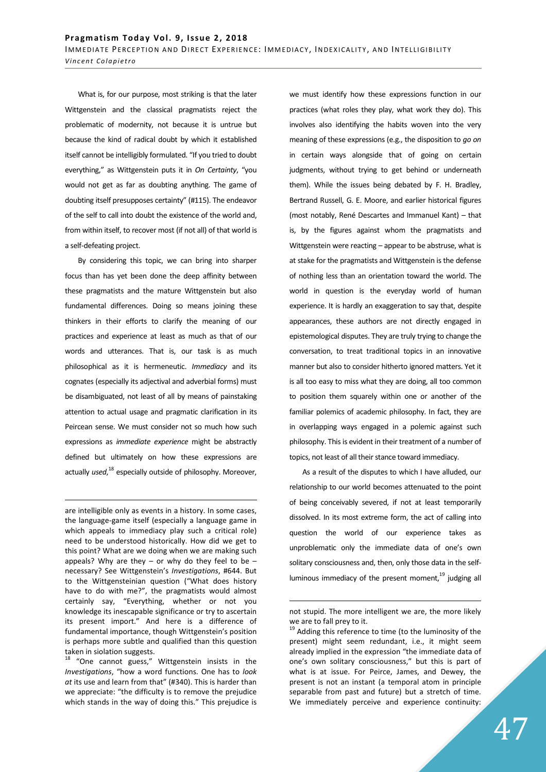What is, for our purpose, most striking is that the later Wittgenstein and the classical pragmatists reject the problematic of modernity, not because it is untrue but because the kind of radical doubt by which it established itself cannot be intelligibly formulated. "If you tried to doubt everything," as Wittgenstein puts it in *On Certainty*, "you would not get as far as doubting anything. The game of doubting itself presupposes certainty" (#115). The endeavor of the self to call into doubt the existence of the world and, from within itself, to recover most (if not all) of that world is a self-defeating project.

By considering this topic, we can bring into sharper focus than has yet been done the deep affinity between these pragmatists and the mature Wittgenstein but also fundamental differences. Doing so means joining these thinkers in their efforts to clarify the meaning of our practices and experience at least as much as that of our words and utterances. That is, our task is as much philosophical as it is hermeneutic. *Immediacy* and its cognates (especially its adjectival and adverbial forms) must be disambiguated, not least of all by means of painstaking attention to actual usage and pragmatic clarification in its Peircean sense. We must consider not so much how such expressions as *immediate experience* might be abstractly defined but ultimately on how these expressions are actually *used*, <sup>18</sup> especially outside of philosophy. Moreover,

are intelligible only as events in a history. In some cases, the language-game itself (especially a language game in which appeals to immediacy play such a critical role) need to be understood historically. How did we get to this point? What are we doing when we are making such appeals? Why are they  $-$  or why do they feel to be  $$ necessary? See Wittgenstein's *Investigations*, #644. But to the Wittgensteinian question ("What does history have to do with me?", the pragmatists would almost certainly say, "Everything, whether or not you knowledge its inescapable significance or try to ascertain its present import." And here is a difference of fundamental importance, though Wittgenstein's position is perhaps more subtle and qualified than this question taken in siolation suggests.

<u>.</u>

"One cannot guess," Wittgenstein insists in the *Investigations*, "how a word functions. One has to *look at* its use and learn from that" (#340). This is harder than we appreciate: "the difficulty is to remove the prejudice which stands in the way of doing this." This prejudice is we must identify how these expressions function in our practices (what roles they play, what work they do). This involves also identifying the habits woven into the very meaning of these expressions (e.g., the disposition to *go on* in certain ways alongside that of going on certain judgments, without trying to get behind or underneath them). While the issues being debated by F. H. Bradley, Bertrand Russell, G. E. Moore, and earlier historical figures (most notably, René Descartes and Immanuel Kant) – that is, by the figures against whom the pragmatists and Wittgenstein were reacting – appear to be abstruse, what is at stake for the pragmatists and Wittgenstein is the defense of nothing less than an orientation toward the world. The world in question is the everyday world of human experience. It is hardly an exaggeration to say that, despite appearances, these authors are not directly engaged in epistemological disputes. They are truly trying to change the conversation, to treat traditional topics in an innovative manner but also to consider hitherto ignored matters. Yet it is all too easy to miss what they are doing, all too common to position them squarely within one or another of the familiar polemics of academic philosophy. In fact, they are in overlapping ways engaged in a polemic against such philosophy. This is evident in their treatment of a number of topics, not least of all their stance toward immediacy.

As a result of the disputes to which I have alluded, our relationship to our world becomes attenuated to the point of being conceivably severed, if not at least temporarily dissolved. In its most extreme form, the act of calling into question the world of our experience takes as unproblematic only the immediate data of one's own solitary consciousness and, then, only those data in the selfluminous immediacy of the present moment, $19$  judging all

not stupid. The more intelligent we are, the more likely we are to fall prey to it.

<sup>&</sup>lt;sup>19</sup> Adding this reference to time (to the luminosity of the present) might seem redundant, i.e., it might seem already implied in the expression "the immediate data of one's own solitary consciousness," but this is part of what is at issue. For Peirce, James, and Dewey, the present is not an instant (a temporal atom in principle separable from past and future) but a stretch of time. We immediately perceive and experience continuity: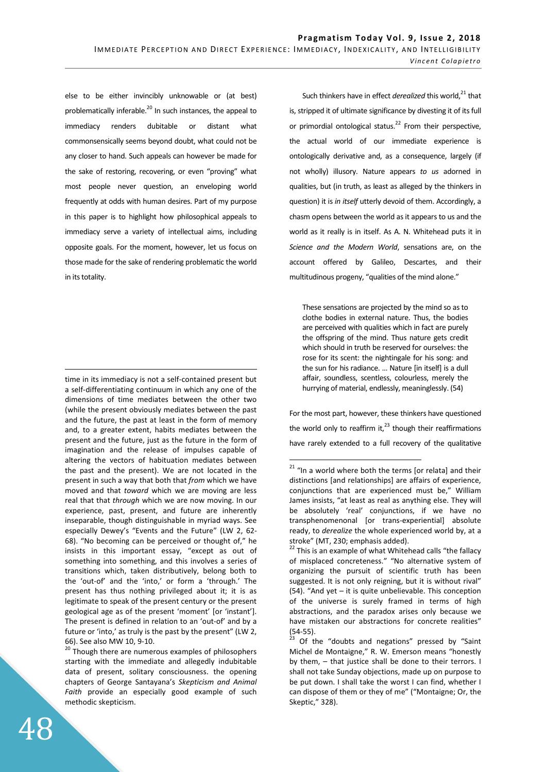else to be either invincibly unknowable or (at best) problematically inferable.<sup>20</sup> In such instances, the appeal to immediacy renders dubitable or distant what commonsensically seems beyond doubt, what could not be any closer to hand. Such appeals can however be made for the sake of restoring, recovering, or even "proving" what most people never question, an enveloping world frequently at odds with human desires. Part of my purpose in this paper is to highlight how philosophical appeals to immediacy serve a variety of intellectual aims, including opposite goals. For the moment, however, let us focus on those made for the sake of rendering problematic the world in its totality.

time in its immediacy is not a self-contained present but a self-differentiating continuum in which any one of the dimensions of time mediates between the other two (while the present obviously mediates between the past and the future, the past at least in the form of memory and, to a greater extent, habits mediates between the present and the future, just as the future in the form of imagination and the release of impulses capable of altering the vectors of habituation mediates between the past and the present). We are not located in the present in such a way that both that *from* which we have moved and that *toward* which we are moving are less real that that *through* which we are now moving. In our experience, past, present, and future are inherently inseparable, though distinguishable in myriad ways. See especially Dewey's "Events and the Future" (LW 2, 62- 68). "No becoming can be perceived or thought of," he insists in this important essay, "except as out of something into something, and this involves a series of transitions which, taken distributively, belong both to the 'out-of' and the 'into,' or form a 'through.' The present has thus nothing privileged about it; it is as legitimate to speak of the present century or the present geological age as of the present 'moment' [or 'instant']. The present is defined in relation to an 'out-of' and by a future or 'into,' as truly is the past by the present" (LW 2, 66). See also MW 10, 9-10.

<sup>20</sup> Though there are numerous examples of philosophers starting with the immediate and allegedly indubitable data of present, solitary consciousness. the opening chapters of George Santayana's *Skepticism and Animal Faith* provide an especially good example of such methodic skepticism.

Such thinkers have in effect *derealized* this world,<sup>21</sup> that is, stripped it of ultimate significance by divesting it of its full or primordial ontological status.<sup>22</sup> From their perspective, the actual world of our immediate experience is ontologically derivative and, as a consequence, largely (if not wholly) illusory. Nature appears *to us* adorned in qualities, but (in truth, as least as alleged by the thinkers in question) it is *in itself* utterly devoid of them. Accordingly, a chasm opens between the world as it appears to us and the world as it really is in itself. As A. N. Whitehead puts it in *Science and the Modern World*, sensations are, on the account offered by Galileo, Descartes, and their multitudinous progeny, "qualities of the mind alone."

These sensations are projected by the mind so as to clothe bodies in external nature. Thus, the bodies are perceived with qualities which in fact are purely the offspring of the mind. Thus nature gets credit which should in truth be reserved for ourselves: the rose for its scent: the nightingale for his song: and the sun for his radiance. … Nature [in itself] is a dull affair, soundless, scentless, colourless, merely the hurrying of material, endlessly, meaninglessly. (54)

For the most part, however, these thinkers have questioned the world only to reaffirm it, $^{23}$  though their reaffirmations have rarely extended to a full recovery of the qualitative

<u>.</u>

 $\overline{a}$  $21$  "In a world where both the terms [or relata] and their distinctions [and relationships] are affairs of experience, conjunctions that are experienced must be," William James insists, "at least as real as anything else. They will be absolutely 'real' conjunctions, if we have no transphenomenonal [or trans-experiential] absolute ready, to *derealize* the whole experienced world by, at a stroke" (MT, 230; emphasis added).

 $22$  This is an example of what Whitehead calls "the fallacy of misplaced concreteness." "No alternative system of organizing the pursuit of scientific truth has been suggested. It is not only reigning, but it is without rival" (54). "And yet – it is quite unbelievable. This conception of the universe is surely framed in terms of high abstractions, and the paradox arises only because we have mistaken our abstractions for concrete realities"  $(54-55)$ .

Of the "doubts and negations" pressed by "Saint Michel de Montaigne," R. W. Emerson means "honestly by them, – that justice shall be done to their terrors. I shall not take Sunday objections, made up on purpose to be put down. I shall take the worst I can find, whether I can dispose of them or they of me" ("Montaigne; Or, the Skeptic," 328).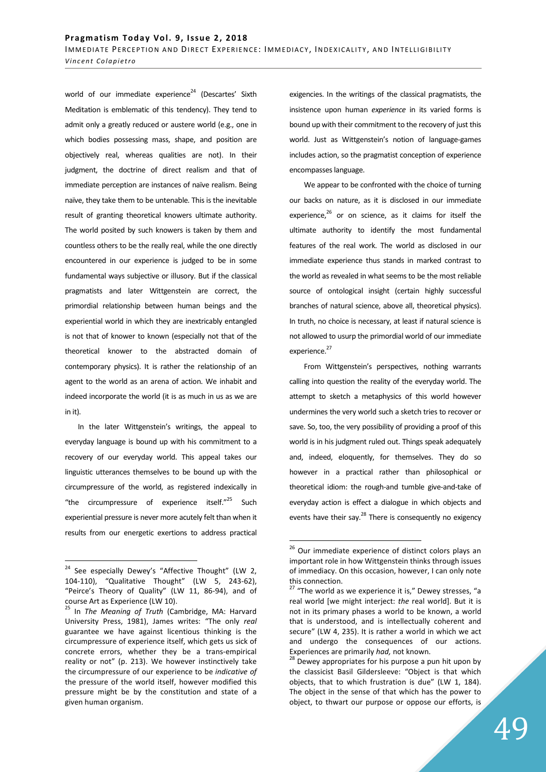world of our immediate experience<sup>24</sup> (Descartes' Sixth Meditation is emblematic of this tendency). They tend to admit only a greatly reduced or austere world (e.g., one in which bodies possessing mass, shape, and position are objectively real, whereas qualities are not). In their judgment, the doctrine of direct realism and that of immediate perception are instances of naïve realism. Being naïve, they take them to be untenable. This is the inevitable result of granting theoretical knowers ultimate authority. The world posited by such knowers is taken by them and countless others to be the really real, while the one directly encountered in our experience is judged to be in some fundamental ways subjective or illusory. But if the classical pragmatists and later Wittgenstein are correct, the primordial relationship between human beings and the experiential world in which they are inextricably entangled is not that of knower to known (especially not that of the theoretical knower to the abstracted domain of contemporary physics). It is rather the relationship of an agent to the world as an arena of action. We inhabit and indeed incorporate the world (it is as much in us as we are in it).

In the later Wittgenstein's writings, the appeal to everyday language is bound up with his commitment to a recovery of our everyday world. This appeal takes our linguistic utterances themselves to be bound up with the circumpressure of the world, as registered indexically in "the circumpressure of experience itself."<sup>25</sup> Such experiential pressure is never more acutely felt than when it results from our energetic exertions to address practical

 $\overline{a}$ 

exigencies. In the writings of the classical pragmatists, the insistence upon human *experience* in its varied forms is bound up with their commitment to the recovery of just this world. Just as Wittgenstein's notion of language-games includes action, so the pragmatist conception of experience encompasses language.

 We appear to be confronted with the choice of turning our backs on nature, as it is disclosed in our immediate experience, $26$  or on science, as it claims for itself the ultimate authority to identify the most fundamental features of the real work. The world as disclosed in our immediate experience thus stands in marked contrast to the world as revealed in what seems to be the most reliable source of ontological insight (certain highly successful branches of natural science, above all, theoretical physics). In truth, no choice is necessary, at least if natural science is not allowed to usurp the primordial world of our immediate experience.<sup>27</sup>

 From Wittgenstein's perspectives, nothing warrants calling into question the reality of the everyday world. The attempt to sketch a metaphysics of this world however undermines the very world such a sketch tries to recover or save. So, too, the very possibility of providing a proof of this world is in his judgment ruled out. Things speak adequately and, indeed, eloquently, for themselves. They do so however in a practical rather than philosophical or theoretical idiom: the rough-and tumble give-and-take of everyday action is effect a dialogue in which objects and events have their say. $^{28}$  There is consequently no exigency

<sup>&</sup>lt;sup>24</sup> See especially Dewey's "Affective Thought" (LW 2, 104-110), "Qualitative Thought" (LW 5, 243-62), "Peirce's Theory of Quality" (LW 11, 86-94), and of course Art as Experience (LW 10).

<sup>25</sup> In *The Meaning of Truth* (Cambridge, MA: Harvard University Press, 1981), James writes: "The only *real* guarantee we have against licentious thinking is the circumpressure of experience itself, which gets us sick of concrete errors, whether they be a trans-empirical reality or not" (p. 213). We however instinctively take the circumpressure of our experience to be *indicative of*  the pressure of the world itself, however modified this pressure might be by the constitution and state of a given human organism.

 $26$  Our immediate experience of distinct colors plays an important role in how Wittgenstein thinks through issues of immediacy. On this occasion, however, I can only note this connection.

 $27$  "The world as we experience it is," Dewey stresses, "a real world [we might interject: *the* real world]. But it is not in its primary phases a world to be known, a world that is understood, and is intellectually coherent and secure" (LW 4, 235). It is rather a world in which we act and undergo the consequences of our actions. Experiences are primarily *had,* not known.

 $28$  Dewey appropriates for his purpose a pun hit upon by the classicist Basil Gildersleeve: "Object is that which objects, that to which frustration is due" (LW 1, 184). The object in the sense of that which has the power to object, to thwart our purpose or oppose our efforts, is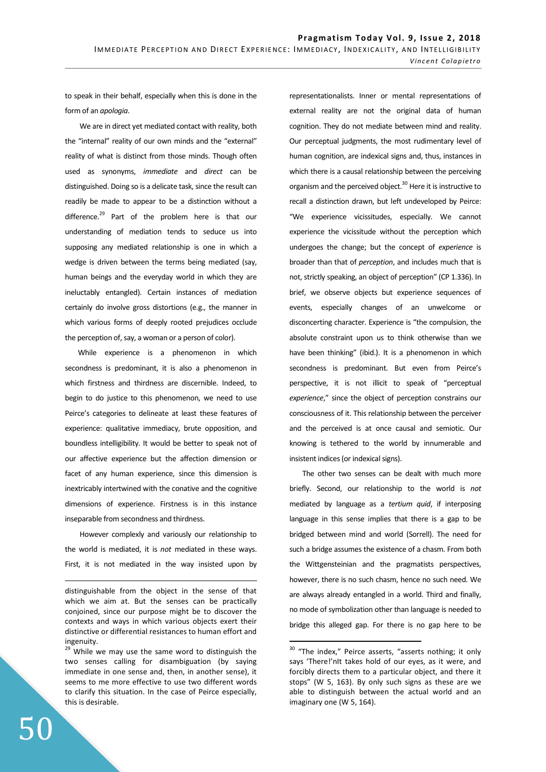to speak in their behalf, especially when this is done in the form of an *apologia*.

 We are in direct yet mediated contact with reality, both the "internal" reality of our own minds and the "external" reality of what is distinct from those minds. Though often used as synonyms, *immediate* and *direct* can be distinguished. Doing so is a delicate task, since the result can readily be made to appear to be a distinction without a difference.<sup>29</sup> Part of the problem here is that our understanding of mediation tends to seduce us into supposing any mediated relationship is one in which a wedge is driven between the terms being mediated (say, human beings and the everyday world in which they are ineluctably entangled). Certain instances of mediation certainly do involve gross distortions (e.g., the manner in which various forms of deeply rooted prejudices occlude the perception of, say, a woman or a person of color).

While experience is a phenomenon in which secondness is predominant, it is also a phenomenon in which firstness and thirdness are discernible. Indeed, to begin to do justice to this phenomenon, we need to use Peirce's categories to delineate at least these features of experience: qualitative immediacy, brute opposition, and boundless intelligibility. It would be better to speak not of our affective experience but the affection dimension or facet of any human experience, since this dimension is inextricably intertwined with the conative and the cognitive dimensions of experience. Firstness is in this instance inseparable from secondness and thirdness.

 However complexly and variously our relationship to the world is mediated, it is *not* mediated in these ways. First, it is not mediated in the way insisted upon by representationalists. Inner or mental representations of external reality are not the original data of human cognition. They do not mediate between mind and reality. Our perceptual judgments, the most rudimentary level of human cognition, are indexical signs and, thus, instances in which there is a causal relationship between the perceiving organism and the perceived object.<sup>30</sup> Here it is instructive to recall a distinction drawn, but left undeveloped by Peirce: "We experience vicissitudes, especially. We cannot experience the vicissitude without the perception which undergoes the change; but the concept of *experience* is broader than that of *perception*, and includes much that is not, strictly speaking, an object of perception" (CP 1.336). In brief, we observe objects but experience sequences of events, especially changes of an unwelcome or disconcerting character. Experience is "the compulsion, the absolute constraint upon us to think otherwise than we have been thinking" (ibid.). It is a phenomenon in which secondness is predominant. But even from Peirce's perspective, it is not illicit to speak of "perceptual *experience*," since the object of perception constrains our consciousness of it. This relationship between the perceiver and the perceived is at once causal and semiotic. Our knowing is tethered to the world by innumerable and insistent indices (or indexical signs).

The other two senses can be dealt with much more briefly. Second, our relationship to the world is *not* mediated by language as a *tertium quid*, if interposing language in this sense implies that there is a gap to be bridged between mind and world (Sorrell). The need for such a bridge assumes the existence of a chasm. From both the Wittgensteinian and the pragmatists perspectives, however, there is no such chasm, hence no such need. We are always already entangled in a world. Third and finally, no mode of symbolization other than language is needed to bridge this alleged gap. For there is no gap here to be

 $\overline{a}$ 

<u>.</u>

distinguishable from the object in the sense of that which we aim at. But the senses can be practically conjoined, since our purpose might be to discover the contexts and ways in which various objects exert their distinctive or differential resistances to human effort and ingenuity.

<sup>&</sup>lt;sup>29</sup> While we may use the same word to distinguish the two senses calling for disambiguation (by saying immediate in one sense and, then, in another sense), it seems to me more effective to use two different words to clarify this situation. In the case of Peirce especially, this is desirable.

<sup>&</sup>lt;sup>30</sup> "The index," Peirce asserts, "asserts nothing; it only says 'There!'nIt takes hold of our eyes, as it were, and forcibly directs them to a particular object, and there it stops" (W 5, 163). By only such signs as these are we able to distinguish between the actual world and an imaginary one (W 5, 164).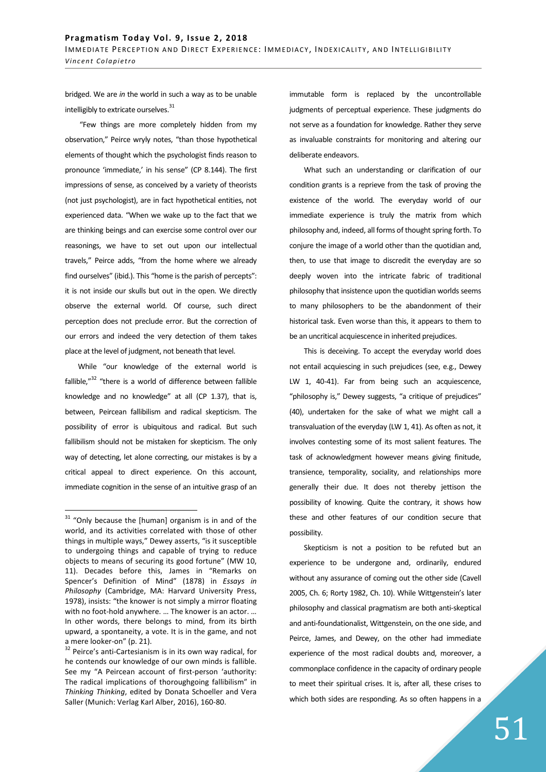bridged. We are *in* the world in such a way as to be unable intelligibly to extricate ourselves.<sup>31</sup>

 "Few things are more completely hidden from my observation," Peirce wryly notes, "than those hypothetical elements of thought which the psychologist finds reason to pronounce 'immediate,' in his sense" (CP 8.144). The first impressions of sense, as conceived by a variety of theorists (not just psychologist), are in fact hypothetical entities, not experienced data. "When we wake up to the fact that we are thinking beings and can exercise some control over our reasonings, we have to set out upon our intellectual travels," Peirce adds, "from the home where we already find ourselves" (ibid.). This "home is the parish of percepts": it is not inside our skulls but out in the open. We directly observe the external world. Of course, such direct perception does not preclude error. But the correction of our errors and indeed the very detection of them takes place at the level of judgment, not beneath that level.

While "our knowledge of the external world is fallible, $"32$  "there is a world of difference between fallible knowledge and no knowledge" at all (CP 1.37), that is, between, Peircean fallibilism and radical skepticism. The possibility of error is ubiquitous and radical. But such fallibilism should not be mistaken for skepticism. The only way of detecting, let alone correcting, our mistakes is by a critical appeal to direct experience. On this account, immediate cognition in the sense of an intuitive grasp of an

 $\overline{a}$ 

immutable form is replaced by the uncontrollable judgments of perceptual experience. These judgments do not serve as a foundation for knowledge. Rather they serve as invaluable constraints for monitoring and altering our deliberate endeavors.

 What such an understanding or clarification of our condition grants is a reprieve from the task of proving the existence of the world. The everyday world of our immediate experience is truly the matrix from which philosophy and, indeed, all forms of thought spring forth. To conjure the image of a world other than the quotidian and, then, to use that image to discredit the everyday are so deeply woven into the intricate fabric of traditional philosophy that insistence upon the quotidian worlds seems to many philosophers to be the abandonment of their historical task. Even worse than this, it appears to them to be an uncritical acquiescence in inherited prejudices.

 This is deceiving. To accept the everyday world does not entail acquiescing in such prejudices (see, e.g., Dewey LW 1, 40-41). Far from being such an acquiescence, "philosophy is," Dewey suggests, "a critique of prejudices" (40), undertaken for the sake of what we might call a transvaluation of the everyday (LW 1, 41). As often as not, it involves contesting some of its most salient features. The task of acknowledgment however means giving finitude, transience, temporality, sociality, and relationships more generally their due. It does not thereby jettison the possibility of knowing. Quite the contrary, it shows how these and other features of our condition secure that possibility.

 Skepticism is not a position to be refuted but an experience to be undergone and, ordinarily, endured without any assurance of coming out the other side (Cavell 2005, Ch. 6; Rorty 1982, Ch. 10). While Wittgenstein's later philosophy and classical pragmatism are both anti-skeptical and anti-foundationalist, Wittgenstein, on the one side, and Peirce, James, and Dewey, on the other had immediate experience of the most radical doubts and, moreover, a commonplace confidence in the capacity of ordinary people to meet their spiritual crises. It is, after all, these crises to which both sides are responding. As so often happens in a

 $31$  "Only because the [human] organism is in and of the world, and its activities correlated with those of other things in multiple ways," Dewey asserts, "is it susceptible to undergoing things and capable of trying to reduce objects to means of securing its good fortune" (MW 10, 11). Decades before this, James in "Remarks on Spencer's Definition of Mind" (1878) in *Essays in Philosophy* (Cambridge, MA: Harvard University Press, 1978), insists: "the knower is not simply a mirror floating with no foot-hold anywhere. … The knower is an actor. … In other words, there belongs to mind, from its birth upward, a spontaneity, a vote. It is in the game, and not a mere looker-on" (p. 21).

 $32$  Peirce's anti-Cartesianism is in its own way radical, for he contends our knowledge of our own minds is fallible. See my "A Peircean account of first-person 'authority: The radical implications of thoroughgoing fallibilism" in *Thinking Thinking*, edited by Donata Schoeller and Vera Saller (Munich: Verlag Karl Alber, 2016), 160-80.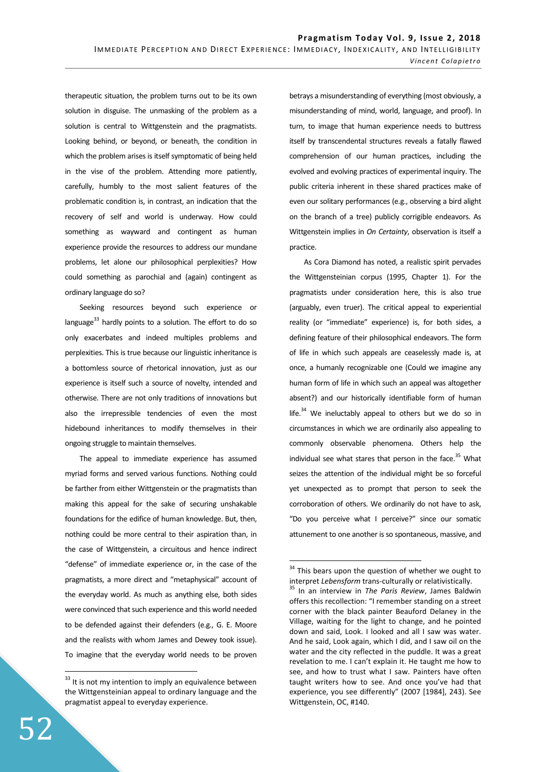therapeutic situation, the problem turns out to be its own solution in disguise. The unmasking of the problem as a solution is central to Wittgenstein and the pragmatists. Looking behind, or beyond, or beneath, the condition in which the problem arises is itself symptomatic of being held in the vise of the problem. Attending more patiently, carefully, humbly to the most salient features of the problematic condition is, in contrast, an indication that the recovery of self and world is underway. How could something as wayward and contingent as human experience provide the resources to address our mundane problems, let alone our philosophical perplexities? How could something as parochial and (again) contingent as ordinary language do so?

 Seeking resources beyond such experience or language $^{33}$  hardly points to a solution. The effort to do so only exacerbates and indeed multiples problems and perplexities. This is true because our linguistic inheritance is a bottomless source of rhetorical innovation, just as our experience is itself such a source of novelty, intended and otherwise. There are not only traditions of innovations but also the irrepressible tendencies of even the most hidebound inheritances to modify themselves in their ongoing struggle to maintain themselves.

 The appeal to immediate experience has assumed myriad forms and served various functions. Nothing could be farther from either Wittgenstein or the pragmatists than making this appeal for the sake of securing unshakable foundations for the edifice of human knowledge. But, then, nothing could be more central to their aspiration than, in the case of Wittgenstein, a circuitous and hence indirect "defense" of immediate experience or, in the case of the pragmatists, a more direct and "metaphysical" account of the everyday world. As much as anything else, both sides were convinced that such experience and this world needed to be defended against their defenders (e.g., G. E. Moore and the realists with whom James and Dewey took issue). To imagine that the everyday world needs to be proven betrays a misunderstanding of everything (most obviously, a misunderstanding of mind, world, language, and proof). In turn, to image that human experience needs to buttress itself by transcendental structures reveals a fatally flawed comprehension of our human practices, including the evolved and evolving practices of experimental inquiry. The public criteria inherent in these shared practices make of even our solitary performances (e.g., observing a bird alight on the branch of a tree) publicly corrigible endeavors. As Wittgenstein implies in *On Certainty*, observation is itself a practice.

 As Cora Diamond has noted, a realistic spirit pervades the Wittgensteinian corpus (1995, Chapter 1). For the pragmatists under consideration here, this is also true (arguably, even truer). The critical appeal to experiential reality (or "immediate" experience) is, for both sides, a defining feature of their philosophical endeavors. The form of life in which such appeals are ceaselessly made is, at once, a humanly recognizable one (Could we imagine any human form of life in which such an appeal was altogether absent?) and our historically identifiable form of human  $life.<sup>34</sup> We including appeal to others but we do so in$ circumstances in which we are ordinarily also appealing to commonly observable phenomena. Others help the individual see what stares that person in the face. $35$  What seizes the attention of the individual might be so forceful yet unexpected as to prompt that person to seek the corroboration of others. We ordinarily do not have to ask, "Do you perceive what I perceive?" since our somatic attunement to one another is so spontaneous, massive, and

 $\overline{a}$ 

 $33$  It is not my intention to imply an equivalence between the Wittgensteinian appeal to ordinary language and the pragmatist appeal to everyday experience.

<sup>&</sup>lt;sup>34</sup> This bears upon the question of whether we ought to interpret *Lebensform* trans-culturally or relativistically.

<sup>35</sup> In an interview in *The Paris Review*, James Baldwin offers this recollection: "I remember standing on a street corner with the black painter Beauford Delaney in the Village, waiting for the light to change, and he pointed down and said, Look. I looked and all I saw was water. And he said, Look again, which I did, and I saw oil on the water and the city reflected in the puddle. It was a great revelation to me. I can't explain it. He taught me how to see, and how to trust what I saw. Painters have often taught writers how to see. And once you've had that experience, you see differently" (2007 [1984], 243). See Wittgenstein, OC, #140.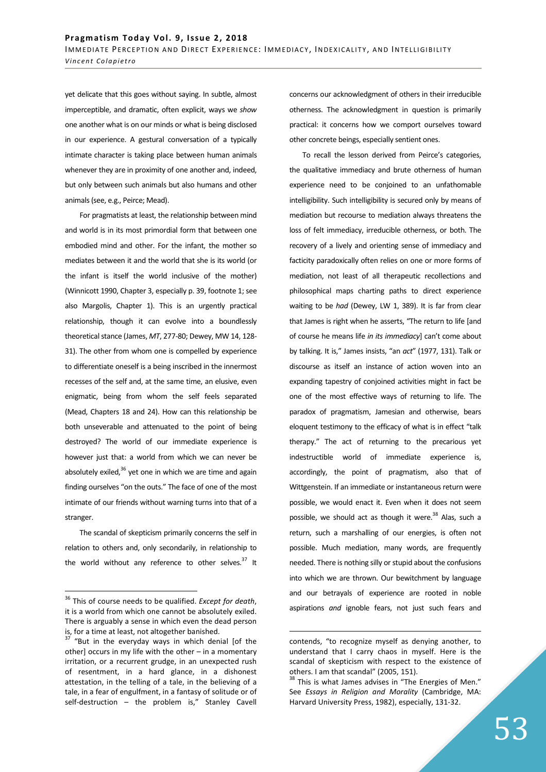yet delicate that this goes without saying. In subtle, almost imperceptible, and dramatic, often explicit, ways we *show* one another what is on our minds or what is being disclosed in our experience. A gestural conversation of a typically intimate character is taking place between human animals whenever they are in proximity of one another and, indeed, but only between such animals but also humans and other animals (see, e.g., Peirce; Mead).

 For pragmatists at least, the relationship between mind and world is in its most primordial form that between one embodied mind and other. For the infant, the mother so mediates between it and the world that she is its world (or the infant is itself the world inclusive of the mother) (Winnicott 1990, Chapter 3, especially p. 39, footnote 1; see also Margolis, Chapter 1). This is an urgently practical relationship, though it can evolve into a boundlessly theoretical stance (James, *MT*, 277-80; Dewey, MW 14, 128- 31). The other from whom one is compelled by experience to differentiate oneself is a being inscribed in the innermost recesses of the self and, at the same time, an elusive, even enigmatic, being from whom the self feels separated (Mead, Chapters 18 and 24). How can this relationship be both unseverable and attenuated to the point of being destroyed? The world of our immediate experience is however just that: a world from which we can never be absolutely exiled, $36$  yet one in which we are time and again finding ourselves "on the outs." The face of one of the most intimate of our friends without warning turns into that of a stranger.

 The scandal of skepticism primarily concerns the self in relation to others and, only secondarily, in relationship to the world without any reference to other selves. $37$  It

 $\overline{a}$ 

concerns our acknowledgment of others in their irreducible otherness. The acknowledgment in question is primarily practical: it concerns how we comport ourselves toward other concrete beings, especially sentient ones.

To recall the lesson derived from Peirce's categories, the qualitative immediacy and brute otherness of human experience need to be conjoined to an unfathomable intelligibility. Such intelligibility is secured only by means of mediation but recourse to mediation always threatens the loss of felt immediacy, irreducible otherness, or both. The recovery of a lively and orienting sense of immediacy and facticity paradoxically often relies on one or more forms of mediation, not least of all therapeutic recollections and philosophical maps charting paths to direct experience waiting to be *had* (Dewey, LW 1, 389). It is far from clear that James is right when he asserts, "The return to life [and of course he means life *in its immediacy*] can't come about by talking. It is," James insists, "an *act*" (1977, 131). Talk or discourse as itself an instance of action woven into an expanding tapestry of conjoined activities might in fact be one of the most effective ways of returning to life. The paradox of pragmatism, Jamesian and otherwise, bears eloquent testimony to the efficacy of what is in effect "talk therapy." The act of returning to the precarious yet indestructible world of immediate experience is, accordingly, the point of pragmatism, also that of Wittgenstein. If an immediate or instantaneous return were possible, we would enact it. Even when it does not seem possible, we should act as though it were.<sup>38</sup> Alas, such a return, such a marshalling of our energies, is often not possible. Much mediation, many words, are frequently needed. There is nothing silly or stupid about the confusions into which we are thrown. Our bewitchment by language and our betrayals of experience are rooted in noble aspirations *and* ignoble fears, not just such fears and

<sup>36</sup> This of course needs to be qualified. *Except for death*, it is a world from which one cannot be absolutely exiled. There is arguably a sense in which even the dead person is, for a time at least, not altogether banished.

 $37$  "But in the everyday ways in which denial [of the other] occurs in my life with the other – in a momentary irritation, or a recurrent grudge, in an unexpected rush of resentment, in a hard glance, in a dishonest attestation, in the telling of a tale, in the believing of a tale, in a fear of engulfment, in a fantasy of solitude or of self-destruction - the problem is," Stanley Cavell

contends, "to recognize myself as denying another, to understand that I carry chaos in myself. Here is the scandal of skepticism with respect to the existence of others. I am that scandal" (2005, 151).

<sup>&</sup>lt;sup>38</sup> This is what James advises in "The Energies of Men." See *Essays in Religion and Morality* (Cambridge, MA: Harvard University Press, 1982), especially, 131-32.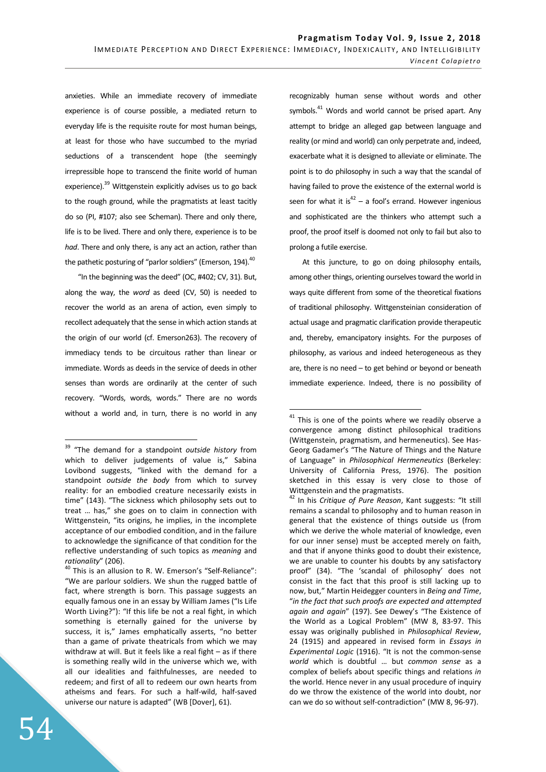$\overline{a}$ 

anxieties. While an immediate recovery of immediate experience is of course possible, a mediated return to everyday life is the requisite route for most human beings, at least for those who have succumbed to the myriad seductions of a transcendent hope (the seemingly irrepressible hope to transcend the finite world of human experience).<sup>39</sup> Wittgenstein explicitly advises us to go back to the rough ground, while the pragmatists at least tacitly do so (PI, #107; also see Scheman). There and only there, life is to be lived. There and only there, experience is to be *had*. There and only there, is any act an action, rather than the pathetic posturing of "parlor soldiers" (Emerson, 194). $^{40}$ 

"In the beginning was the deed" (OC, #402; CV, 31). But, along the way, the *word* as deed (CV, 50) is needed to recover the world as an arena of action, even simply to recollect adequately that the sense in which action stands at the origin of our world (cf. Emerson263). The recovery of immediacy tends to be circuitous rather than linear or immediate. Words as deeds in the service of deeds in other senses than words are ordinarily at the center of such recovery. "Words, words, words." There are no words without a world and, in turn, there is no world in any recognizably human sense without words and other symbols.<sup>41</sup> Words and world cannot be prised apart. Any attempt to bridge an alleged gap between language and reality (or mind and world) can only perpetrate and, indeed, exacerbate what it is designed to alleviate or eliminate. The point is to do philosophy in such a way that the scandal of having failed to prove the existence of the external world is seen for what it is<sup>42</sup> – a fool's errand. However ingenious and sophisticated are the thinkers who attempt such a proof, the proof itself is doomed not only to fail but also to prolong a futile exercise.

At this juncture, to go on doing philosophy entails, among other things, orienting ourselves toward the world in ways quite different from some of the theoretical fixations of traditional philosophy. Wittgensteinian consideration of actual usage and pragmatic clarification provide therapeutic and, thereby, emancipatory insights. For the purposes of philosophy, as various and indeed heterogeneous as they are, there is no need – to get behind or beyond or beneath immediate experience. Indeed, there is no possibility of

<sup>39</sup> "The demand for a standpoint *outside history* from which to deliver judgements of value is," Sabina Lovibond suggests, "linked with the demand for a standpoint *outside the body* from which to survey reality: for an embodied creature necessarily exists in time" (143). "The sickness which philosophy sets out to treat … has," she goes on to claim in connection with Wittgenstein, "its origins, he implies, in the incomplete acceptance of our embodied condition, and in the failure to acknowledge the significance of that condition for the reflective understanding of such topics as *meaning* and *rationality*" (206).

 $40$  This is an allusion to R. W. Emerson's "Self-Reliance": "We are parlour soldiers. We shun the rugged battle of fact, where strength is born. This passage suggests an equally famous one in an essay by William James ("Is Life Worth Living?"): "If this life be not a real fight, in which something is eternally gained for the universe by success, it is," James emphatically asserts, "no better than a game of private theatricals from which we may withdraw at will. But it feels like a real fight – as if there is something really wild in the universe which we, with all our idealities and faithfulnesses, are needed to redeem; and first of all to redeem our own hearts from atheisms and fears. For such a half-wild, half-saved universe our nature is adapted" (WB [Dover], 61).

 $41$  This is one of the points where we readily observe a convergence among distinct philosophical traditions (Wittgenstein, pragmatism, and hermeneutics). See Has-Georg Gadamer's "The Nature of Things and the Nature of Language" in *Philosophical Hermeneutics* (Berkeley: University of California Press, 1976). The position sketched in this essay is very close to those of Wittgenstein and the pragmatists.

<sup>42</sup> In his *Critique of Pure Reason*, Kant suggests: "It still remains a scandal to philosophy and to human reason in general that the existence of things outside us (from which we derive the whole material of knowledge, even for our inner sense) must be accepted merely on faith, and that if anyone thinks good to doubt their existence, we are unable to counter his doubts by any satisfactory proof" (34). "The 'scandal of philosophy' does not consist in the fact that this proof is still lacking up to now, but," Martin Heidegger counters in *Being and Time*, "*in the fact that such proofs are expected and attempted again and again*" (197). See Dewey's "The Existence of the World as a Logical Problem" (MW 8, 83-97. This essay was originally published in *Philosophical Review*, 24 (1915) and appeared in revised form in *Essays in Experimental Logic* (1916). "It is not the common-sense *world* which is doubtful … but *common sense* as a complex of beliefs about specific things and relations *in* the world. Hence never in any usual procedure of inquiry do we throw the existence of the world into doubt, nor can we do so without self-contradiction" (MW 8, 96-97).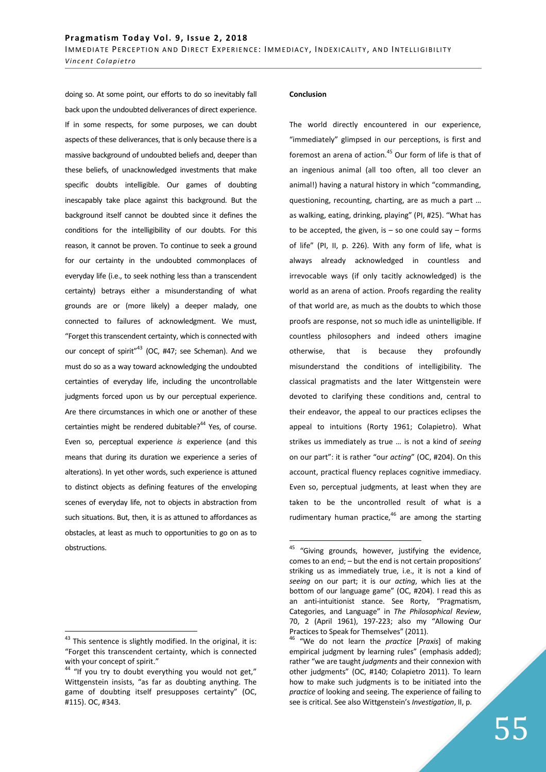doing so. At some point, our efforts to do so inevitably fall back upon the undoubted deliverances of direct experience. If in some respects, for some purposes, we can doubt aspects of these deliverances, that is only because there is a massive background of undoubted beliefs and, deeper than these beliefs, of unacknowledged investments that make specific doubts intelligible. Our games of doubting inescapably take place against this background. But the background itself cannot be doubted since it defines the conditions for the intelligibility of our doubts. For this reason, it cannot be proven. To continue to seek a ground for our certainty in the undoubted commonplaces of everyday life (i.e., to seek nothing less than a transcendent certainty) betrays either a misunderstanding of what grounds are or (more likely) a deeper malady, one connected to failures of acknowledgment. We must, "Forget this transcendent certainty, which is connected with our concept of spirit"<sup>43</sup> (OC, #47; see Scheman). And we must do so as a way toward acknowledging the undoubted certainties of everyday life, including the uncontrollable judgments forced upon us by our perceptual experience. Are there circumstances in which one or another of these certainties might be rendered dubitable? $44$  Yes, of course. Even so, perceptual experience *is* experience (and this means that during its duration we experience a series of alterations). In yet other words, such experience is attuned to distinct objects as defining features of the enveloping scenes of everyday life, not to objects in abstraction from such situations. But, then, it is as attuned to affordances as obstacles, at least as much to opportunities to go on as to obstructions.

## $43$  This sentence is slightly modified. In the original, it is: "Forget this transcendent certainty, which is connected with your concept of spirit."

 $\overline{a}$ 

### **Conclusion**

 $\overline{a}$ 

The world directly encountered in our experience, "immediately" glimpsed in our perceptions, is first and foremost an arena of action.<sup>45</sup> Our form of life is that of an ingenious animal (all too often, all too clever an animal!) having a natural history in which "commanding, questioning, recounting, charting, are as much a part … as walking, eating, drinking, playing" (PI, #25). "What has to be accepted, the given, is  $-$  so one could say  $-$  forms of life" (PI, II, p. 226). With any form of life, what is always already acknowledged in countless and irrevocable ways (if only tacitly acknowledged) is the world as an arena of action. Proofs regarding the reality of that world are, as much as the doubts to which those proofs are response, not so much idle as unintelligible. If countless philosophers and indeed others imagine otherwise, that is because they profoundly misunderstand the conditions of intelligibility. The classical pragmatists and the later Wittgenstein were devoted to clarifying these conditions and, central to their endeavor, the appeal to our practices eclipses the appeal to intuitions (Rorty 1961; Colapietro). What strikes us immediately as true … is not a kind of *seeing* on our part": it is rather "our *acting*" (OC, #204). On this account, practical fluency replaces cognitive immediacy. Even so, perceptual judgments, at least when they are taken to be the uncontrolled result of what is a rudimentary human practice, $46$  are among the starting

 $44$  "If you try to doubt everything you would not get," Wittgenstein insists, "as far as doubting anything. The game of doubting itself presupposes certainty" (OC, #115). OC, #343.

<sup>&</sup>lt;sup>45</sup> "Giving grounds, however, justifying the evidence, comes to an end; – but the end is not certain propositions' striking us as immediately true, i.e., it is not a kind of *seeing* on our part; it is our *acting*, which lies at the bottom of our language game" (OC, #204). I read this as an anti-intuitionist stance. See Rorty, "Pragmatism, Categories, and Language" in *The Philosophical Review*, 70, 2 (April 1961), 197-223; also my "Allowing Our Practices to Speak for Themselves" (2011).

<sup>46</sup> "We do not learn the *practice* [*Praxis*] of making empirical judgment by learning rules" (emphasis added); rather "we are taught *judgments* and their connexion with other judgments" (OC, #140; Colapietro 2011). To learn how to make such judgments is to be initiated into the *practice* of looking and seeing. The experience of failing to see is critical. See also Wittgenstein's *Investigation*, II, p.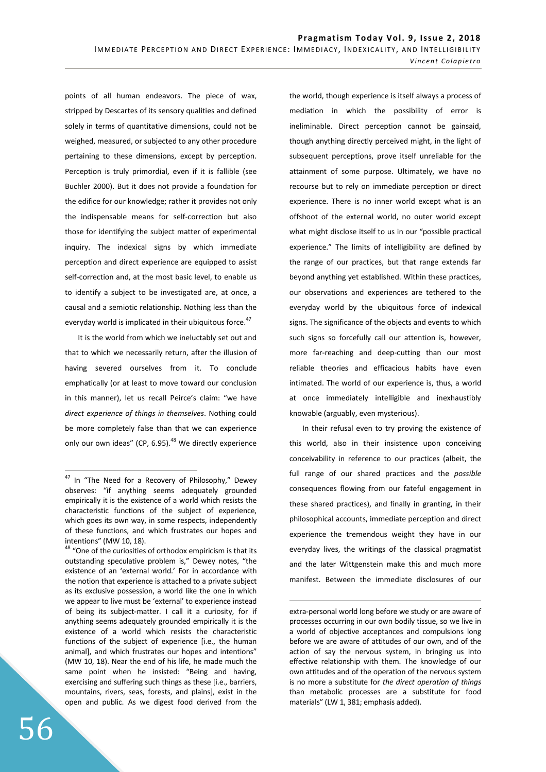points of all human endeavors. The piece of wax, stripped by Descartes of its sensory qualities and defined solely in terms of quantitative dimensions, could not be weighed, measured, or subjected to any other procedure pertaining to these dimensions, except by perception. Perception is truly primordial, even if it is fallible (see Buchler 2000). But it does not provide a foundation for the edifice for our knowledge; rather it provides not only the indispensable means for self-correction but also those for identifying the subject matter of experimental inquiry. The indexical signs by which immediate perception and direct experience are equipped to assist self-correction and, at the most basic level, to enable us to identify a subject to be investigated are, at once, a causal and a semiotic relationship. Nothing less than the everyday world is implicated in their ubiquitous force.<sup>47</sup>

It is the world from which we ineluctably set out and that to which we necessarily return, after the illusion of having severed ourselves from it. To conclude emphatically (or at least to move toward our conclusion in this manner), let us recall Peirce's claim: "we have *direct experience of things in themselves*. Nothing could be more completely false than that we can experience only our own ideas" (CP,  $6.95$ ).<sup>48</sup> We directly experience

 $48$  "One of the curiosities of orthodox empiricism is that its outstanding speculative problem is," Dewey notes, "the existence of an 'external world.' For in accordance with the notion that experience is attached to a private subject as its exclusive possession, a world like the one in which we appear to live must be 'external' to experience instead of being its subject-matter. I call it a curiosity, for if anything seems adequately grounded empirically it is the existence of a world which resists the characteristic functions of the subject of experience [i.e., the human animal], and which frustrates our hopes and intentions" (MW 10, 18). Near the end of his life, he made much the same point when he insisted: "Being and having, exercising and suffering such things as these [i.e., barriers, mountains, rivers, seas, forests, and plains], exist in the open and public. As we digest food derived from the

56

 $\overline{a}$ 

the world, though experience is itself always a process of mediation in which the possibility of error is ineliminable. Direct perception cannot be gainsaid, though anything directly perceived might, in the light of subsequent perceptions, prove itself unreliable for the attainment of some purpose. Ultimately, we have no recourse but to rely on immediate perception or direct experience. There is no inner world except what is an offshoot of the external world, no outer world except what might disclose itself to us in our "possible practical experience." The limits of intelligibility are defined by the range of our practices, but that range extends far beyond anything yet established. Within these practices, our observations and experiences are tethered to the everyday world by the ubiquitous force of indexical signs. The significance of the objects and events to which such signs so forcefully call our attention is, however, more far-reaching and deep-cutting than our most reliable theories and efficacious habits have even intimated. The world of our experience is, thus, a world at once immediately intelligible and inexhaustibly knowable (arguably, even mysterious).

In their refusal even to try proving the existence of this world, also in their insistence upon conceiving conceivability in reference to our practices (albeit, the full range of our shared practices and the *possible* consequences flowing from our fateful engagement in these shared practices), and finally in granting, in their philosophical accounts, immediate perception and direct experience the tremendous weight they have in our everyday lives, the writings of the classical pragmatist and the later Wittgenstein make this and much more manifest. Between the immediate disclosures of our

<sup>&</sup>lt;sup>47</sup> In "The Need for a Recovery of Philosophy," Dewey observes: "if anything seems adequately grounded empirically it is the existence of a world which resists the characteristic functions of the subject of experience, which goes its own way, in some respects, independently of these functions, and which frustrates our hopes and intentions" (MW 10, 18).

extra-personal world long before we study or are aware of processes occurring in our own bodily tissue, so we live in a world of objective acceptances and compulsions long before we are aware of attitudes of our own, and of the action of say the nervous system, in bringing us into effective relationship with them. The knowledge of our own attitudes and of the operation of the nervous system is no more a substitute for *the direct operation of things* than metabolic processes are a substitute for food materials" (LW 1, 381; emphasis added).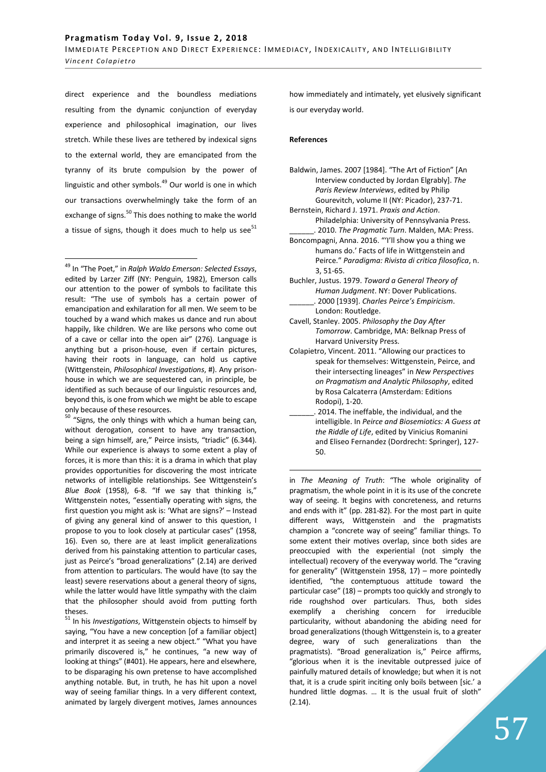direct experience and the boundless mediations resulting from the dynamic conjunction of everyday experience and philosophical imagination, our lives stretch. While these lives are tethered by indexical signs to the external world, they are emancipated from the tyranny of its brute compulsion by the power of linguistic and other symbols. $49$  Our world is one in which our transactions overwhelmingly take the form of an exchange of signs.<sup>50</sup> This does nothing to make the world a tissue of signs, though it does much to help us see $^{51}$ 

<sup>49</sup> In "The Poet," in *Ralph Waldo Emerson: Selected Essays*, edited by Larzer Ziff (NY: Penguin, 1982), Emerson calls our attention to the power of symbols to facilitate this result: "The use of symbols has a certain power of emancipation and exhilaration for all men. We seem to be touched by a wand which makes us dance and run about happily, like children. We are like persons who come out of a cave or cellar into the open air" (276). Language is anything but a prison-house, even if certain pictures, having their roots in language, can hold us captive (Wittgenstein, *Philosophical Investigations*, #). Any prisonhouse in which we are sequestered can, in principle, be identified as such because of our linguistic resources and, beyond this, is one from which we might be able to escape only because of these resources.

 $\overline{a}$ 

 $50$  "Signs, the only things with which a human being can, without derogation, consent to have any transaction, being a sign himself, are," Peirce insists, "triadic" (6.344). While our experience is always to some extent a play of forces, it is more than this: it is a drama in which that play provides opportunities for discovering the most intricate networks of intelligible relationships. See Wittgenstein's *Blue Book* (1958), 6-8. "If we say that thinking is," Wittgenstein notes, "essentially operating with signs, the first question you might ask is: 'What are signs?' – Instead of giving any general kind of answer to this question, I propose to you to look closely at particular cases" (1958, 16). Even so, there are at least implicit generalizations derived from his painstaking attention to particular cases, just as Peirce's "broad generalizations" (2.14) are derived from attention to particulars. The would have (to say the least) severe reservations about a general theory of signs, while the latter would have little sympathy with the claim that the philosopher should avoid from putting forth theses.

<sup>51</sup> In his *Investigations*, Wittgenstein objects to himself by saying, "You have a new conception [of a familiar object] and interpret it as seeing a new object." "What you have primarily discovered is," he continues, "a new way of looking at things" (#401). He appears, here and elsewhere, to be disparaging his own pretense to have accomplished anything notable. But, in truth, he has hit upon a novel way of seeing familiar things. In a very different context, animated by largely divergent motives, James announces how immediately and intimately, yet elusively significant is our everyday world.

### **References**

- Baldwin, James. 2007 [1984]. "The Art of Fiction" [An Interview conducted by Jordan Elgrably]. *The Paris Review Interviews*, edited by Philip Gourevitch, volume II (NY: Picador), 237-71.
- Bernstein, Richard J. 1971. *Praxis and Action*. Philadelphia: University of Pennsylvania Press. \_\_\_\_\_\_. 2010. *The Pragmatic Turn*. Malden, MA: Press.
- Boncompagni, Anna. 2016. "'I'll show you a thing we humans do.' Facts of life in Wittgenstein and Peirce." *Paradigma: Rivista di critica filosofica*, n. 3, 51-65.
- Buchler, Justus. 1979. *Toward a General Theory of Human Judgment*. NY: Dover Publications. \_\_\_\_\_\_. 2000 [1939]. *Charles Peirce's Empiricism*. London: Routledge.
- Cavell, Stanley. 2005. *Philosophy the Day After Tomorrow*. Cambridge, MA: Belknap Press of Harvard University Press.
- Colapietro, Vincent. 2011. "Allowing our practices to speak for themselves: Wittgenstein, Peirce, and their intersecting lineages" in *New Perspectives on Pragmatism and Analytic Philosophy*, edited by Rosa Calcaterra (Amsterdam: Editions Rodopi), 1-20.
- 2014. The ineffable, the individual, and the intelligible. In *Peirce and Biosemiotics: A Guess at the Riddle of Life*, edited by Vinicius Romanini and Eliseo Fernandez (Dordrecht: Springer), 127- 50.

 $\overline{a}$ in *The Meaning of Truth*: "The whole originality of pragmatism, the whole point in it is its use of the concrete way of seeing. It begins with concreteness, and returns and ends with it" (pp. 281-82). For the most part in quite different ways, Wittgenstein and the pragmatists champion a "concrete way of seeing" familiar things. To some extent their motives overlap, since both sides are preoccupied with the experiential (not simply the intellectual) recovery of the everyway world. The "craving for generality" (Wittgenstein 1958, 17) – more pointedly identified, "the contemptuous attitude toward the particular case" (18) – prompts too quickly and strongly to ride roughshod over particulars. Thus, both sides exemplify a cherishing concern for irreducible particularity, without abandoning the abiding need for broad generalizations (though Wittgenstein is, to a greater degree, wary of such generalizations than the pragmatists). "Broad generalization is," Peirce affirms, "glorious when it is the inevitable outpressed juice of painfully matured details of knowledge; but when it is not that, it is a crude spirit inciting only boils between [sic.' a hundred little dogmas. … It is the usual fruit of sloth" (2.14).